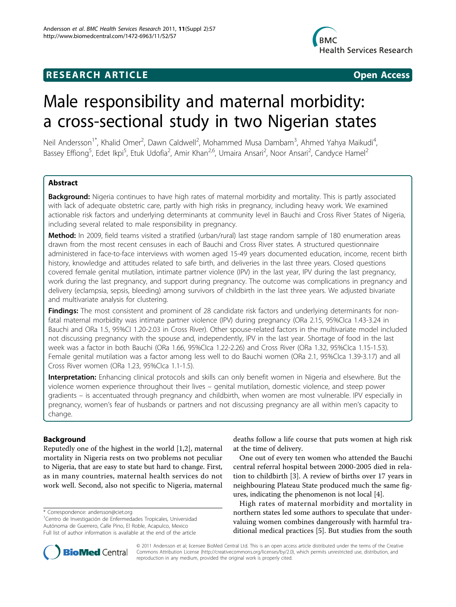

## **RESEARCH ARTICLE Example 2018 12:30 THE Open Access**

# Male responsibility and maternal morbidity: a cross-sectional study in two Nigerian states

Neil Andersson<sup>1\*</sup>, Khalid Omer<sup>2</sup>, Dawn Caldwell<sup>2</sup>, Mohammed Musa Dambam<sup>3</sup>, Ahmed Yahya Maikudi<sup>4</sup> , Bassey Effiong<sup>5</sup>, Edet Ikpi<sup>5</sup>, Etuk Udofia<sup>2</sup>, Amir Khan<sup>2,6</sup>, Umaira Ansari<sup>2</sup>, Noor Ansari<sup>2</sup>, Candyce Hamel<sup>2</sup>

## Abstract

Background: Nigeria continues to have high rates of maternal morbidity and mortality. This is partly associated with lack of adequate obstetric care, partly with high risks in pregnancy, including heavy work. We examined actionable risk factors and underlying determinants at community level in Bauchi and Cross River States of Nigeria, including several related to male responsibility in pregnancy.

Method: In 2009, field teams visited a stratified (urban/rural) last stage random sample of 180 enumeration areas drawn from the most recent censuses in each of Bauchi and Cross River states. A structured questionnaire administered in face-to-face interviews with women aged 15-49 years documented education, income, recent birth history, knowledge and attitudes related to safe birth, and deliveries in the last three years. Closed questions covered female genital mutilation, intimate partner violence (IPV) in the last year, IPV during the last pregnancy, work during the last pregnancy, and support during pregnancy. The outcome was complications in pregnancy and delivery (eclampsia, sepsis, bleeding) among survivors of childbirth in the last three years. We adjusted bivariate and multivariate analysis for clustering.

Findings: The most consistent and prominent of 28 candidate risk factors and underlying determinants for nonfatal maternal morbidity was intimate partner violence (IPV) during pregnancy (ORa 2.15, 95%CIca 1.43-3.24 in Bauchi and ORa 1.5, 95%CI 1.20-2.03 in Cross River). Other spouse-related factors in the multivariate model included not discussing pregnancy with the spouse and, independently, IPV in the last year. Shortage of food in the last week was a factor in both Bauchi (ORa 1.66, 95%CIca 1.22-2.26) and Cross River (ORa 1.32, 95%CIca 1.15-1.53). Female genital mutilation was a factor among less well to do Bauchi women (ORa 2.1, 95%CIca 1.39-3.17) and all Cross River women (ORa 1.23, 95%CIca 1.1-1.5).

Interpretation: Enhancing clinical protocols and skills can only benefit women in Nigeria and elsewhere. But the violence women experience throughout their lives – genital mutilation, domestic violence, and steep power gradients – is accentuated through pregnancy and childbirth, when women are most vulnerable. IPV especially in pregnancy, women's fear of husbands or partners and not discussing pregnancy are all within men's capacity to change.

## Background

Reputedly one of the highest in the world [[1,2\]](#page-9-0), maternal mortality in Nigeria rests on two problems not peculiar to Nigeria, that are easy to state but hard to change. First, as in many countries, maternal health services do not work well. Second, also not specific to Nigeria, maternal

deaths follow a life course that puts women at high risk at the time of delivery.

One out of every ten women who attended the Bauchi central referral hospital between 2000-2005 died in relation to childbirth [\[3](#page-9-0)]. A review of births over 17 years in neighbouring Plateau State produced much the same figures, indicating the phenomenon is not local [[4\]](#page-9-0).

High rates of maternal morbidity and mortality in northern states led some authors to speculate that undervaluing women combines dangerously with harmful traditional medical practices [[5\]](#page-9-0). But studies from the south



© 2011 Andersson et al; licensee BioMed Central Ltd. This is an open access article distributed under the terms of the Creative Commons Attribution License [\(http://creativecommons.org/licenses/by/2.0](http://creativecommons.org/licenses/by/2.0)), which permits unrestricted use, distribution, and reproduction in any medium, provided the original work is properly cited.

<sup>\*</sup> Correspondence: [andersson@ciet.org](mailto:andersson@ciet.org)

<sup>1</sup> Centro de Investigación de Enfermedades Tropicales, Universidad Autónoma de Guerrero, Calle Pino, El Roble, Acapulco, Mexico Full list of author information is available at the end of the article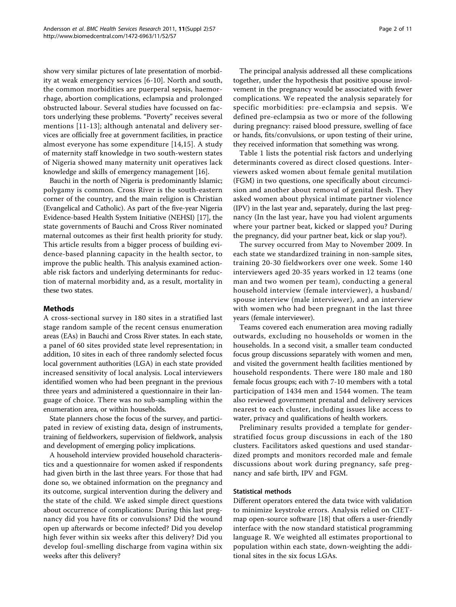show very similar pictures of late presentation of morbidity at weak emergency services [\[6](#page-9-0)-[10](#page-9-0)]. North and south, the common morbidities are puerperal sepsis, haemorrhage, abortion complications, eclampsia and prolonged obstructed labour. Several studies have focussed on factors underlying these problems. "Poverty" receives several mentions [[11](#page-9-0)-[13](#page-10-0)]; although antenatal and delivery services are officially free at government facilities, in practice almost everyone has some expenditure [[14,15](#page-10-0)]. A study of maternity staff knowledge in two south-western states of Nigeria showed many maternity unit operatives lack knowledge and skills of emergency management [[16](#page-10-0)].

Bauchi in the north of Nigeria is predominantly Islamic; polygamy is common. Cross River is the south-eastern corner of the country, and the main religion is Christian (Evangelical and Catholic). As part of the five-year Nigeria Evidence-based Health System Initiative (NEHSI) [\[17\]](#page-10-0), the state governments of Bauchi and Cross River nominated maternal outcomes as their first health priority for study. This article results from a bigger process of building evidence-based planning capacity in the health sector, to improve the public health. This analysis examined actionable risk factors and underlying determinants for reduction of maternal morbidity and, as a result, mortality in these two states.

## Methods

A cross-sectional survey in 180 sites in a stratified last stage random sample of the recent census enumeration areas (EAs) in Bauchi and Cross River states. In each state, a panel of 60 sites provided state level representation; in addition, 10 sites in each of three randomly selected focus local government authorities (LGA) in each state provided increased sensitivity of local analysis. Local interviewers identified women who had been pregnant in the previous three years and administered a questionnaire in their language of choice. There was no sub-sampling within the enumeration area, or within households.

State planners chose the focus of the survey, and participated in review of existing data, design of instruments, training of fieldworkers, supervision of fieldwork, analysis and development of emerging policy implications.

A household interview provided household characteristics and a questionnaire for women asked if respondents had given birth in the last three years. For those that had done so, we obtained information on the pregnancy and its outcome, surgical intervention during the delivery and the state of the child. We asked simple direct questions about occurrence of complications: During this last pregnancy did you have fits or convulsions? Did the wound open up afterwards or become infected? Did you develop high fever within six weeks after this delivery? Did you develop foul-smelling discharge from vagina within six weeks after this delivery?

The principal analysis addressed all these complications together, under the hypothesis that positive spouse involvement in the pregnancy would be associated with fewer complications. We repeated the analysis separately for specific morbidities: pre-eclampsia and sepsis. We defined pre-eclampsia as two or more of the following during pregnancy: raised blood pressure, swelling of face or hands, fits/convulsions, or upon testing of their urine, they received information that something was wrong.

Table [1](#page-2-0) lists the potential risk factors and underlying determinants covered as direct closed questions. Interviewers asked women about female genital mutilation (FGM) in two questions, one specifically about circumcision and another about removal of genital flesh. They asked women about physical intimate partner violence (IPV) in the last year and, separately, during the last pregnancy (In the last year, have you had violent arguments where your partner beat, kicked or slapped you? During the pregnancy, did your partner beat, kick or slap you?).

The survey occurred from May to November 2009. In each state we standardized training in non-sample sites, training 20-30 fieldworkers over one week. Some 140 interviewers aged 20-35 years worked in 12 teams (one man and two women per team), conducting a general household interview (female interviewer), a husband/ spouse interview (male interviewer), and an interview with women who had been pregnant in the last three years (female interviewer).

Teams covered each enumeration area moving radially outwards, excluding no households or women in the households. In a second visit, a smaller team conducted focus group discussions separately with women and men, and visited the government health facilities mentioned by household respondents. There were 180 male and 180 female focus groups; each with 7-10 members with a total participation of 1434 men and 1544 women. The team also reviewed government prenatal and delivery services nearest to each cluster, including issues like access to water, privacy and qualifications of health workers.

Preliminary results provided a template for genderstratified focus group discussions in each of the 180 clusters. Facilitators asked questions and used standardized prompts and monitors recorded male and female discussions about work during pregnancy, safe pregnancy and safe birth, IPV and FGM.

#### Statistical methods

Different operators entered the data twice with validation to minimize keystroke errors. Analysis relied on CIETmap open-source software [[18\]](#page-10-0) that offers a user-friendly interface with the now standard statistical programming language R. We weighted all estimates proportional to population within each state, down-weighting the additional sites in the six focus LGAs.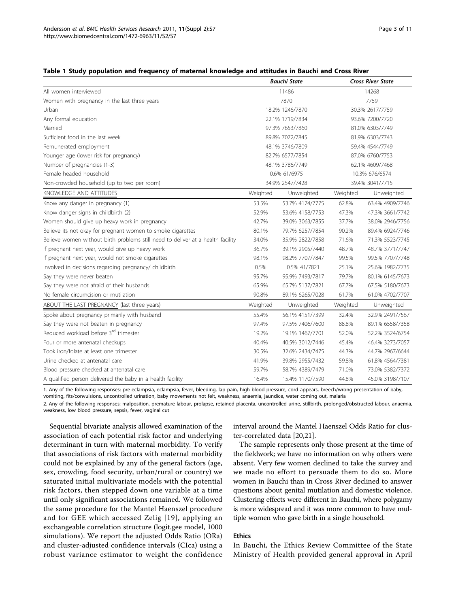|                                                                                 | <b>Bauchi State</b> |                 | <b>Cross River State</b> |                 |  |
|---------------------------------------------------------------------------------|---------------------|-----------------|--------------------------|-----------------|--|
| All women interviewed                                                           | 11486               |                 | 14268                    |                 |  |
| Women with pregnancy in the last three years                                    | 7870                |                 | 7759                     |                 |  |
| Urban                                                                           |                     | 18.2% 1246/7870 | 30.3% 2617/7759          |                 |  |
| Any formal education                                                            |                     | 22.1% 1719/7834 | 93.6% 7200/7720          |                 |  |
| Married                                                                         |                     | 97.3% 7653/7860 |                          | 81.0% 6303/7749 |  |
| Sufficient food in the last week                                                |                     | 89.8% 7072/7845 | 81.9% 6303/7743          |                 |  |
| Remunerated employment                                                          |                     | 48.1% 3746/7809 | 59.4% 4544/7749          |                 |  |
| Younger age (lower risk for pregnancy)                                          |                     | 82.7% 6577/7854 | 87.0% 6760/7753          |                 |  |
| Number of pregnancies (1-3)                                                     |                     | 48.1% 3786/7749 |                          | 62.1% 4609/7468 |  |
| Female headed household                                                         |                     | 0.6% 61/6975    |                          | 10.3% 676/6574  |  |
| Non-crowded household (up to two per room)                                      |                     | 34.9% 2547/7428 |                          | 39.4% 3041/7715 |  |
| KNOWLEDGE AND ATTITUDES                                                         | Weighted            | Unweighted      | Weighted                 | Unweighted      |  |
| Know any danger in pregnancy (1)                                                | 53.5%               | 53.7% 4174/7775 | 62.8%                    | 63.4% 4909/7746 |  |
| Know danger signs in childbirth (2)                                             | 52.9%               | 53.6% 4158/7753 | 47.3%                    | 47.3% 3661/7742 |  |
| Women should give up heavy work in pregnancy                                    | 42.7%               | 39.0% 3063/7855 | 37.7%                    | 38.0% 2946/7756 |  |
| Believe its not okay for pregnant women to smoke cigarettes                     | 80.1%               | 79.7% 6257/7854 | 90.2%                    | 89.4% 6924/7746 |  |
| Believe women without birth problems still need to deliver at a health facility | 34.0%               | 35.9% 2822/7858 | 71.6%                    | 71.3% 5523/7745 |  |
| If pregnant next year, would give up heavy work                                 | 36.7%               | 39.1% 2905/7440 | 48.7%                    | 48.7% 3771/7747 |  |
| If pregnant next year, would not smoke cigarettes                               | 98.1%               | 98.2% 7707/7847 | 99.5%                    | 99.5% 7707/7748 |  |
| Involved in decisions regarding pregnancy/ childbirth                           | 0.5%                | 0.5% 41/7821    | 25.1%                    | 25.6% 1982/7735 |  |
| Say they were never beaten                                                      | 95.7%               | 95.9% 7493/7817 | 79.7%                    | 80.1% 6145/7673 |  |
| Say they were not afraid of their husbands                                      | 65.9%               | 65.7% 5137/7821 | 67.7%                    | 67.5% 5180/7673 |  |
| No female circumcision or mutilation                                            | 90.8%               | 89.1% 6265/7028 | 61.7%                    | 61.0% 4702/7707 |  |
| ABOUT THE LAST PREGNANCY (last three years)                                     | Weighted            | Unweighted      | Weighted                 | Unweighted      |  |
| Spoke about pregnancy primarily with husband                                    | 55.4%               | 56.1% 4151/7399 | 32.4%                    | 32.9% 2491/7567 |  |
| Say they were not beaten in pregnancy                                           | 97.4%               | 97.5% 7406/7600 | 88.8%                    | 89.1% 6558/7358 |  |
| Reduced workload before 3rd trimester                                           | 19.2%               | 19.1% 1467/7701 | 52.0%                    | 52.2% 3524/6754 |  |
| Four or more antenatal checkups                                                 | 40.4%               | 40.5% 3012/7446 | 45.4%                    | 46.4% 3273/7057 |  |
| Took iron/folate at least one trimester                                         | 30.5%               | 32.6% 2434/7475 | 44.3%                    | 44.7% 2967/6644 |  |
| Urine checked at antenatal care                                                 | 41.9%               | 39.8% 2955/7432 | 59.8%                    | 61.8% 4564/7381 |  |
| Blood pressure checked at antenatal care                                        | 59.7%               | 58.7% 4389/7479 | 71.0%                    | 73.0% 5382/7372 |  |
| A qualified person delivered the baby in a health facility                      | 16.4%               | 15.4% 1170/7590 | 44.8%                    | 45.0% 3198/7107 |  |

#### <span id="page-2-0"></span>Table 1 Study population and frequency of maternal knowledge and attitudes in Bauchi and Cross River

1. Any of the following responses: pre-eclampsia, eclampsia, fever, bleeding, lap pain, high blood pressure, cord appears, breech/wrong presentation of baby, vomiting, fits/convulsions, uncontrolled urination, baby movements not felt, weakness, anaemia, jaundice, water coming out, malaria

2. Any of the following responses: malposition, premature labour, prolapse, retained placenta, uncontrolled urine, stillbirth, prolonged/obstructed labour, anaemia, weakness, low blood pressure, sepsis, fever, vaginal cut

Sequential bivariate analysis allowed examination of the association of each potential risk factor and underlying determinant in turn with maternal morbidity. To verify that associations of risk factors with maternal morbidity could not be explained by any of the general factors (age, sex, crowding, food security, urban/rural or country) we saturated initial multivariate models with the potential risk factors, then stepped down one variable at a time until only significant associations remained. We followed the same procedure for the Mantel Haenszel procedure and for GEE which accessed Zelig [[19\]](#page-10-0), applying an exchangeable correlation structure (logit.gee model, 1000 simulations). We report the adjusted Odds Ratio (ORa) and cluster-adjusted confidence intervals (CIca) using a robust variance estimator to weight the confidence interval around the Mantel Haenszel Odds Ratio for cluster-correlated data [[20,21\]](#page-10-0).

The sample represents only those present at the time of the fieldwork; we have no information on why others were absent. Very few women declined to take the survey and we made no effort to persuade them to do so. More women in Bauchi than in Cross River declined to answer questions about genital mutilation and domestic violence. Clustering effects were different in Bauchi, where polygamy is more widespread and it was more common to have multiple women who gave birth in a single household.

### Ethics

In Bauchi, the Ethics Review Committee of the State Ministry of Health provided general approval in April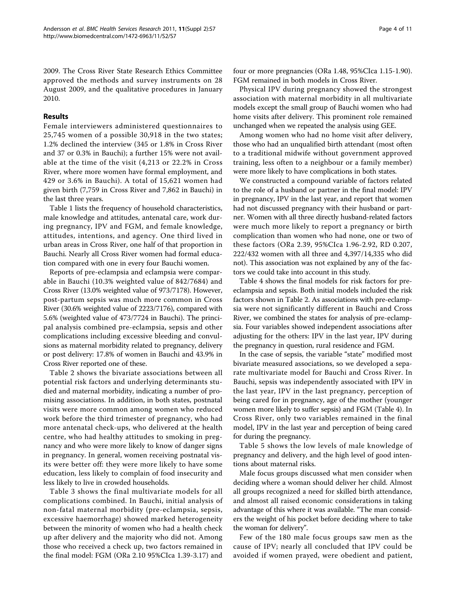2009. The Cross River State Research Ethics Committee approved the methods and survey instruments on 28 August 2009, and the qualitative procedures in January 2010.

#### Results

Female interviewers administered questionnaires to 25,745 women of a possible 30,918 in the two states; 1.2% declined the interview (345 or 1.8% in Cross River and 37 or 0.3% in Bauchi); a further 15% were not available at the time of the visit (4,213 or 22.2% in Cross River, where more women have formal employment, and 429 or 3.6% in Bauchi). A total of 15,621 women had given birth (7,759 in Cross River and 7,862 in Bauchi) in the last three years.

Table [1](#page-2-0) lists the frequency of household characteristics, male knowledge and attitudes, antenatal care, work during pregnancy, IPV and FGM, and female knowledge, attitudes, intentions, and agency. One third lived in urban areas in Cross River, one half of that proportion in Bauchi. Nearly all Cross River women had formal education compared with one in every four Bauchi women.

Reports of pre-eclampsia and eclampsia were comparable in Bauchi (10.3% weighted value of 842/7684) and Cross River (13.0% weighted value of 973/7178). However, post-partum sepsis was much more common in Cross River (30.6% weighted value of 2223/7176), compared with 5.6% (weighted value of 473/7724 in Bauchi). The principal analysis combined pre-eclampsia, sepsis and other complications including excessive bleeding and convulsions as maternal morbidity related to pregnancy, delivery or post delivery: 17.8% of women in Bauchi and 43.9% in Cross River reported one of these.

Table [2](#page-4-0) shows the bivariate associations between all potential risk factors and underlying determinants studied and maternal morbidity, indicating a number of promising associations. In addition, in both states, postnatal visits were more common among women who reduced work before the third trimester of pregnancy, who had more antenatal check-ups, who delivered at the health centre, who had healthy attitudes to smoking in pregnancy and who were more likely to know of danger signs in pregnancy. In general, women receiving postnatal visits were better off: they were more likely to have some education, less likely to complain of food insecurity and less likely to live in crowded households.

Table [3](#page-6-0) shows the final multivariate models for all complications combined. In Bauchi, initial analysis of non-fatal maternal morbidity (pre-eclampsia, sepsis, excessive haemorrhage) showed marked heterogeneity between the minority of women who had a health check up after delivery and the majority who did not. Among those who received a check up, two factors remained in the final model: FGM (ORa 2.10 95%CIca 1.39-3.17) and four or more pregnancies (ORa 1.48, 95%CIca 1.15-1.90). FGM remained in both models in Cross River.

Physical IPV during pregnancy showed the strongest association with maternal morbidity in all multivariate models except the small group of Bauchi women who had home visits after delivery. This prominent role remained unchanged when we repeated the analysis using GEE.

Among women who had no home visit after delivery, those who had an unqualified birth attendant (most often to a traditional midwife without government approved training, less often to a neighbour or a family member) were more likely to have complications in both states.

We constructed a compound variable of factors related to the role of a husband or partner in the final model: IPV in pregnancy, IPV in the last year, and report that women had not discussed pregnancy with their husband or partner. Women with all three directly husband-related factors were much more likely to report a pregnancy or birth complication than women who had none, one or two of these factors (ORa 2.39, 95%CIca 1.96-2.92, RD 0.207, 222/432 women with all three and 4,397/14,335 who did not). This association was not explained by any of the factors we could take into account in this study.

Table [4](#page-6-0) shows the final models for risk factors for preeclampsia and sepsis. Both initial models included the risk factors shown in Table 2. As associations with pre-eclampsia were not significantly different in Bauchi and Cross River, we combined the states for analysis of pre-eclampsia. Four variables showed independent associations after adjusting for the others: IPV in the last year, IPV during the pregnancy in question, rural residence and FGM.

In the case of sepsis, the variable "state" modified most bivariate measured associations, so we developed a separate multivariate model for Bauchi and Cross River. In Bauchi, sepsis was independently associated with IPV in the last year, IPV in the last pregnancy, perception of being cared for in pregnancy, age of the mother (younger women more likely to suffer sepsis) and FGM (Table [4](#page-6-0)). In Cross River, only two variables remained in the final model, IPV in the last year and perception of being cared for during the pregnancy.

Table [5](#page-7-0) shows the low levels of male knowledge of pregnancy and delivery, and the high level of good intentions about maternal risks.

Male focus groups discussed what men consider when deciding where a woman should deliver her child. Almost all groups recognized a need for skilled birth attendance, and almost all raised economic considerations in taking advantage of this where it was available. "The man considers the weight of his pocket before deciding where to take the woman for delivery".

Few of the 180 male focus groups saw men as the cause of IPV; nearly all concluded that IPV could be avoided if women prayed, were obedient and patient,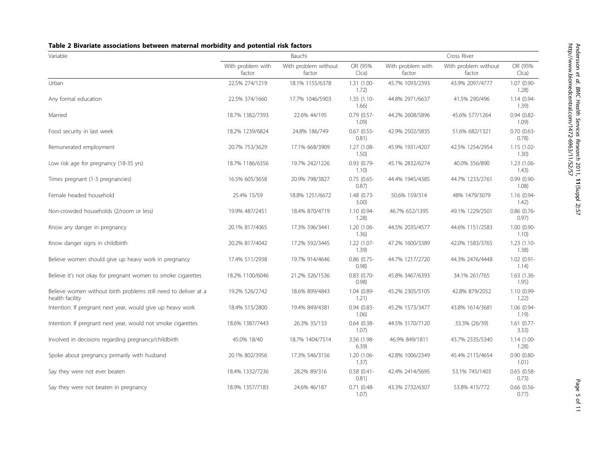| Variable                                                                           |                             | Bauchi                         | Cross River             |                             |                                |                         |
|------------------------------------------------------------------------------------|-----------------------------|--------------------------------|-------------------------|-----------------------------|--------------------------------|-------------------------|
|                                                                                    | With problem with<br>factor | With problem without<br>factor | OR (95%<br>Clca)        | With problem with<br>factor | With problem without<br>factor | OR (95%<br>Clca)        |
| Urban                                                                              | 22.5% 274/1219              | 18.1% 1155/6378                | 1.31 (1.00-<br>1.72)    | 45.7% 1093/2393             | 43.9% 2097/4777                | 1.07 (0.90-<br>1.28)    |
| Any formal education                                                               | 22.5% 374/1660              | 17.7% 1046/5903                | $1.35(1.10-$<br>1.66)   | 44.8% 2971/6637             | 41.5% 290/496                  | $1.14(0.94 -$<br>1.39)  |
| Married                                                                            | 18.7% 1382/7393             | 22.6% 44/195                   | $0.79$ (0.57-<br>1.09)  | 44.2% 2608/5896             | 45.6% 577/1264                 | $0.94(0.82 -$<br>1.09)  |
| Food security in last week                                                         | 18.2% 1239/6824             | 24.8% 186/749                  | $0.67$ (0.55-<br>0.81)  | 42.9% 2502/5835             | 51.6% 682/1321                 | $0.70$ (0.63-<br>0.78)  |
| Remunerated employment                                                             | 20.7% 753/3629              | 17.1% 668/3909                 | 1.27 (1.08-<br>1.50)    | 45.9% 1931/4207             | 42.5% 1254/2954                | $1.15(1.02 -$<br>1.30)  |
| Low risk age for pregnancy (18-35 yrs)                                             | 18.7% 1186/6356             | 19.7% 242/1226                 | $0.93(0.79-$<br>1.10)   | 45.1% 2832/6274             | 40.0% 356/890                  | 1.23 (1.06-<br>1.43)    |
| Times pregnant (1-3 pregnancies)                                                   | 16.5% 605/3658              | 20.9% 798/3827                 | $0.75$ (0.65-<br>0.87)  | 44.4% 1945/4385             | 44.7% 1233/2761                | $0.99(0.90 -$<br>1.08)  |
| Female headed household                                                            | 25.4% 15/59                 | 18.8% 1251/6672                | 1.48 (0.73-<br>$3.00$ ) | 50.6% 159/314               | 48% 1479/3079                  | 1.16 (0.94-<br>1.42)    |
| Non-crowded households (2/room or less)                                            | 19.9% 487/2451              | 18.4% 870/4719                 | 1.10 (0.94-<br>1.28)    | 46.7% 652/1395              | 49.1% 1229/2501                | 0.86 (0.76-<br>0.97)    |
| Know any danger in pregnancy                                                       | 20.1% 817/4065              | 17.3% 596/3441                 | 1.20 (1.06-<br>1.36)    | 44.5% 2035/4577             | 44.6% 1151/2583                | 1.00 (0.90-<br>$1.10$ ) |
| Know danger signs in childbirth                                                    | 20.2% 817/4042              | 17.2% 592/3445                 | $1.22$ (1.07-<br>1.39)  | 47.2% 1600/3389             | 42.0% 1583/3765                | $1.23(1.10-$<br>1.38)   |
| Believe women should give up heavy work in pregnancy                               | 17.4% 511/2938              | 19.7% 914/4646                 | $0.86$ (0.75-<br>0.98)  | 44.7% 1217/2720             | 44.3% 2476/4448                | $1.02$ (0.91-<br>1.14)  |
| Believe it's not okay for pregnant women to smoke cigarettes                       | 18.2% 1100/6046             | 21.2% 326/1536                 | $0.83$ (0.70-<br>0.98)  | 45.8% 3467/6393             | 34.1% 261/765                  | 1.63 (1.36-<br>1.95)    |
| Believe women without birth problems still need to deliver at a<br>health facility | 19.2% 526/2742              | 18.6% 899/4843                 | 1.04 (0.89-<br>1.21)    | 45.2% 2305/5105             | 42.8% 879/2052                 | 1.10 (0.99-<br>1.22)    |
| Intention: If pregnant next year, would give up heavy work                         | 18.4% 515/2800              | 19.4% 849/4381                 | $0.94(0.83 -$<br>1.06)  | 45.2% 1573/3477             | 43.8% 1614/3681                | 1.06 (0.94-<br>1.19     |
| Intention: If pregnant next year, would not smoke cigarettes                       | 18.6% 1387/7443             | 26.3% 35/133                   | $0.64$ (0.38-<br>1.07)  | 44.5% 3170/7120             | 33.3% (26/39)                  | $1.61(0.77 -$<br>3.33)  |
| Involved in decisions regarding pregnancy/childbirth                               | 45.0% 18/40                 | 18.7% 1404/7514                | 3.56 (1.98-<br>6.39)    | 46.9% 849/1811              | 43.7% 2335/5340                | $1.14(1.00 -$<br>1.28)  |
| Spoke about pregnancy primarily with husband                                       | 20.1% 802/3956              | 17.3% 546/3156                 | 1.20 (1.06-<br>1.37)    | 42.8% 1006/2349             | 45.4% 2115/4654                | $0.90(0.80 -$<br>1.01)  |
| Say they were not ever beaten                                                      | 18.4% 1332/7236             | 28.2% 89/316                   | $0.58$ (0.41-<br>0.81)  | 42.4% 2414/5695             | 53.1% 745/1403                 | $0.65$ (0.58-<br>0.73)  |
| Say they were not beaten in pregnancy                                              | 18.9% 1357/7183             | 24.6% 46/187                   | $0.71(0.48 -$<br>1.07)  | 43.3% 2732/6307             | 53.8% 415/772                  | $0.66$ (0.56-<br>0.77)  |

## <span id="page-4-0"></span>Table 2 Bivariate associations between maternal morbidity and potential risk factors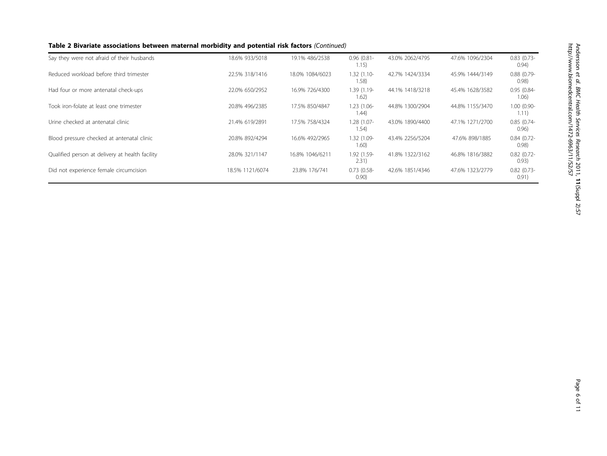| Say they were not afraid of their husbands      | 18.6% 933/5018  | 19.1% 486/2538  | $0.96(0.81 -$<br>1.15)    | 43.0% 2062/4795 | 47.6% 1096/2304 | $0.83$ (0.73-<br>0.94)  |
|-------------------------------------------------|-----------------|-----------------|---------------------------|-----------------|-----------------|-------------------------|
| Reduced workload before third trimester         | 22.5% 318/1416  | 18.0% 1084/6023 | $1.32(1.10-$<br>1.58)     | 42.7% 1424/3334 | 45.9% 1444/3149 | $0.88(0.79-$<br>0.98)   |
| Had four or more antenatal check-ups            | 22.0% 650/2952  | 16.9% 726/4300  | 1.39 (1.19-<br>1.62)      | 44.1% 1418/3218 | 45.4% 1628/3582 | $0.95(0.84 -$<br>1.06)  |
| Took iron-folate at least one trimester         | 20.8% 496/2385  | 17.5% 850/4847  | 1.23 (1.06-<br>1.44)      | 44.8% 1300/2904 | 44.8% 1155/3470 | 1.00 (0.90-<br>1.11)    |
| Urine checked at antenatal clinic               | 21.4% 619/2891  | 17.5% 758/4324  | 1.28 (1.07-<br>1.54)      | 43.0% 1890/4400 | 47.1% 1271/2700 | $0.85(0.74-$<br>0.96)   |
| Blood pressure checked at antenatal clinic      | 20.8% 892/4294  | 16.6% 492/2965  | 1.32 (1.09-<br>1.60)      | 43.4% 2256/5204 | 47.6% 898/1885  | $0.84(0.72 -$<br>0.98)  |
| Qualified person at delivery at health facility | 28.0% 321/1147  | 16.8% 1046/6211 | 1.92 (1.59-<br>2.31)      | 41.8% 1322/3162 | 46.8% 1816/3882 | $0.82$ (0.72-<br>(0.93) |
| Did not experience female circumcision          | 18.5% 1121/6074 | 23.8% 176/741   | $0.73$ $(0.58 -$<br>0.90) | 42.6% 1851/4346 | 47.6% 1323/2779 | $0.82$ (0.73-<br>0.91)  |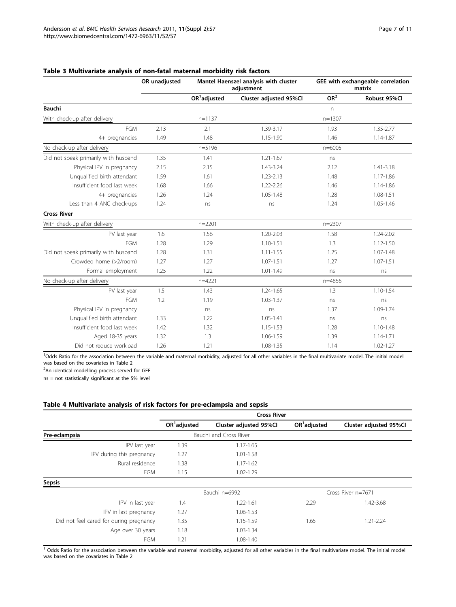|                                      | OR unadjusted | Mantel Haenszel analysis with cluster<br>adjustment |                        |                 | GEE with exchangeable correlation<br>matrix |
|--------------------------------------|---------------|-----------------------------------------------------|------------------------|-----------------|---------------------------------------------|
|                                      |               | OR <sup>1</sup> adjusted                            | Cluster adjusted 95%Cl | OR <sup>2</sup> | Robust 95%Cl                                |
| <b>Bauchi</b>                        |               |                                                     |                        | $\mathsf{n}$    |                                             |
| With check-up after delivery         |               | $n = 1137$                                          |                        | $n = 1307$      |                                             |
| <b>FGM</b>                           | 2.13          | 2.1                                                 | 1.39-3.17              | 1.93            | 1.35-2.77                                   |
| 4+ pregnancies                       | 1.49          | 1.48                                                | 1.15-1.90              | 1.46            | 1.14-1.87                                   |
| No check-up after delivery           |               | $n=5196$                                            |                        | $n = 6005$      |                                             |
| Did not speak primarily with husband | 1.35          | 1.41                                                | $1.21 - 1.67$          | ns              |                                             |
| Physical IPV in pregnancy            | 2.15          | 2.15                                                | 1.43-3.24              | 2.12            | 1.41-3.18                                   |
| Unqualified birth attendant          | 1.59          | 1.61                                                | $1.23 - 2.13$          | 1.48            | 1.17-1.86                                   |
| Insufficient food last week          | 1.68          | 1.66                                                | 1.22-2.26              | 1.46            | 1.14-1.86                                   |
| 4+ pregnancies                       | 1.26          | 1.24                                                | 1.05-1.48              | 1.28            | 1.08-1.51                                   |
| Less than 4 ANC check-ups            | 1.24          | ns                                                  | ns                     | 1.24            | 1.05-1.46                                   |
| <b>Cross River</b>                   |               |                                                     |                        |                 |                                             |
| With check-up after delivery         |               | $n = 2201$                                          |                        | $n = 2307$      |                                             |
| IPV last year                        | 1.6           | 1.56                                                | 1.20-2.03              | 1.58            | 1.24-2.02                                   |
| <b>FGM</b>                           | 1.28          | 1.29                                                | $1.10 - 1.51$          | 1.3             | $1.12 - 1.50$                               |
| Did not speak primarily with husband | 1.28          | 1.31                                                | $1.11 - 1.55$          | 1.25            | 1.07-1.48                                   |
| Crowded home (>2/room)               | 1.27          | 1.27                                                | 1.07-1.51              | 1.27            | 1.07-1.51                                   |
| Formal employment                    | 1.25          | 1.22                                                | $1.01 - 1.49$          | ns              | ns                                          |
| No check-up after delivery           |               | $n=4221$                                            |                        | $n = 4856$      |                                             |
| IPV last year                        | 1.5           | 1.43                                                | 1.24-1.65              | 1.3             | 1.10-1.54                                   |
| <b>FGM</b>                           | 1.2           | 1.19                                                | $1.03 - 1.37$          | ns              | ns                                          |
| Physical IPV in pregnancy            |               | ns                                                  | ns                     | 1.37            | 1.09-1.74                                   |
| Unqualified birth attendant          | 1.33          | 1.22                                                | $1.05 - 1.41$          | ns              | ns                                          |
| Insufficient food last week          | 1.42          | 1.32                                                | 1.15-1.53              | 1.28            | $1.10 - 1.48$                               |
| Aged 18-35 years                     | 1.32          | 1.3                                                 | 1.06-1.59              | 1.39            | $1.14 - 1.71$                               |
| Did not reduce workload              | 1.26          | 1.21                                                | 1.08-1.35              | 1.14            | $1.02 - 1.27$                               |

## <span id="page-6-0"></span>Table 3 Multivariate analysis of non-fatal maternal morbidity risk factors

<sup>1</sup>Odds Ratio for the association between the variable and maternal morbidity, adjusted for all other variables in the final multivariate model. The initial model was based on the covariates in Table 2

<sup>2</sup>An identical modelling process served for GEE

ns = not statistically significant at the 5% level

## Table 4 Multivariate analysis of risk factors for pre-eclampsia and sepsis

|                                         | <b>Cross River</b> |                        |                |                        |
|-----------------------------------------|--------------------|------------------------|----------------|------------------------|
|                                         | $OR1$ adjusted     | Cluster adjusted 95%Cl | $OR1$ adjusted | Cluster adjusted 95%Cl |
| Pre-eclampsia                           |                    | Bauchi and Cross River |                |                        |
| IPV last year                           | 1.39               | $1.17 - 1.65$          |                |                        |
| IPV during this pregnancy               | 1.27               | $1.01 - 1.58$          |                |                        |
| Rural residence                         | 1.38               | $1.17 - 1.62$          |                |                        |
| <b>FGM</b>                              | 1.15               | 1.02-1.29              |                |                        |
| <b>Sepsis</b>                           |                    |                        |                |                        |
|                                         | Bauchi n=6992      |                        |                | Cross River n=7671     |
| IPV in last year                        | 1.4                | $1.22 - 1.61$          | 2.29           | 1.42-3.68              |
| IPV in last pregnancy                   | 1.27               | $1.06 - 1.53$          |                |                        |
| Did not feel cared for during pregnancy | 1.35               | 1.15-1.59              | 1.65           | $1.21 - 2.24$          |
| Age over 30 years                       | 1.18               | $1.03 - 1.34$          |                |                        |
| <b>FGM</b>                              | 1.21               | 1.08-1.40              |                |                        |

<sup>1</sup> Odds Ratio for the association between the variable and maternal morbidity, adjusted for all other variables in the final multivariate model. The initial model was based on the covariates in Table 2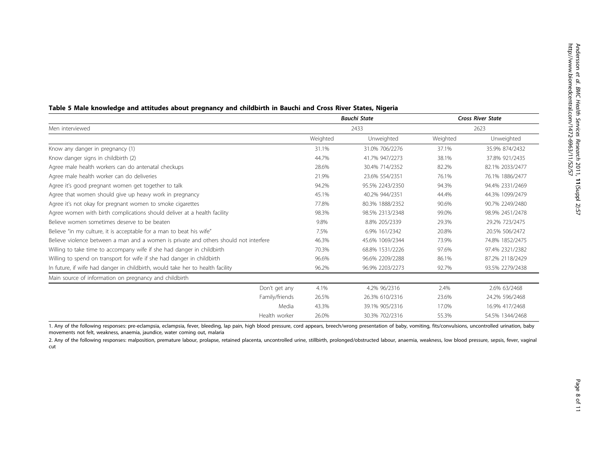|                                                                                       |          | <b>Bauchi State</b> | <b>Cross River State</b> |                 |  |
|---------------------------------------------------------------------------------------|----------|---------------------|--------------------------|-----------------|--|
| Men interviewed                                                                       |          | 2433                | 2623                     |                 |  |
|                                                                                       | Weighted | Unweighted          | Weighted                 | Unweighted      |  |
| Know any danger in pregnancy (1)                                                      | 31.1%    | 31.0% 706/2276      | 37.1%                    | 35.9% 874/2432  |  |
| Know danger signs in childbirth (2)                                                   | 44.7%    | 41.7% 947/2273      | 38.1%                    | 37.8% 921/2435  |  |
| Agree male health workers can do antenatal checkups                                   | 28.6%    | 30.4% 714/2352      | 82.2%                    | 82.1% 2033/2477 |  |
| Agree male health worker can do deliveries                                            | 21.9%    | 23.6% 554/2351      | 76.1%                    | 76.1% 1886/2477 |  |
| Agree it's good pregnant women get together to talk                                   | 94.2%    | 95.5% 2243/2350     | 94.3%                    | 94.4% 2331/2469 |  |
| Agree that women should give up heavy work in pregnancy                               | 45.1%    | 40.2% 944/2351      | 44.4%                    | 44.3% 1099/2479 |  |
| Agree it's not okay for pregnant women to smoke cigarettes                            | 77.8%    | 80.3% 1888/2352     | 90.6%                    | 90.7% 2249/2480 |  |
| Agree women with birth complications should deliver at a health facility              | 98.3%    | 98.5% 2313/2348     | 99.0%                    | 98.9% 2451/2478 |  |
| Believe women sometimes deserve to be beaten                                          | 9.8%     | 8.8% 205/2339       | 29.3%                    | 29.2% 723/2475  |  |
| Believe "in my culture, it is acceptable for a man to beat his wife"                  | 7.5%     | 6.9% 161/2342       | 20.8%                    | 20.5% 506/2472  |  |
| Believe violence between a man and a women is private and others should not interfere | 46.3%    | 45.6% 1069/2344     | 73.9%                    | 74.8% 1852/2475 |  |
| Willing to take time to accompany wife if she had danger in childbirth                | 70.3%    | 68.8% 1531/2226     | 97.6%                    | 97.4% 2321/2382 |  |
| Willing to spend on transport for wife if she had danger in childbirth                | 96.6%    | 96.6% 2209/2288     | 86.1%                    | 87.2% 2118/2429 |  |
| In future, if wife had danger in childbirth, would take her to health facility        | 96.2%    | 96.9% 2203/2273     | 92.7%                    | 93.5% 2279/2438 |  |
| Main source of information on pregnancy and childbirth                                |          |                     |                          |                 |  |
| Don't get any                                                                         | 4.1%     | 4.2% 96/2316        | 2.4%                     | 2.6% 63/2468    |  |
| Family/friends                                                                        | 26.5%    | 26.3% 610/2316      | 23.6%                    | 24.2% 596/2468  |  |
| Media                                                                                 | 43.3%    | 39.1% 905/2316      | 17.0%                    | 16.9% 417/2468  |  |
| Health worker                                                                         | 26.0%    | 30.3% 702/2316      | 55.3%                    | 54.5% 1344/2468 |  |

#### <span id="page-7-0"></span>Table 5 Male knowledge and attitudes about pregnancy and childbirth in Bauchi and Cross River States, Nigeria

1. Any of the following responses: pre-eclampsia, eclampsia, fever, bleeding, lap pain, high blood pressure, cord appears, breech/wrong presentation of baby, vomiting, fits/convulsions, uncontrolled urination, baby movements not felt, weakness, anaemia, jaundice, water coming out, malaria

2. Any of the following responses: malposition, premature labour, prolapse, retained placenta, uncontrolled urine, stillbirth, prolonged/obstructed labour, anaemia, weakness, low blood pressure, sepsis, fever, vaginal cut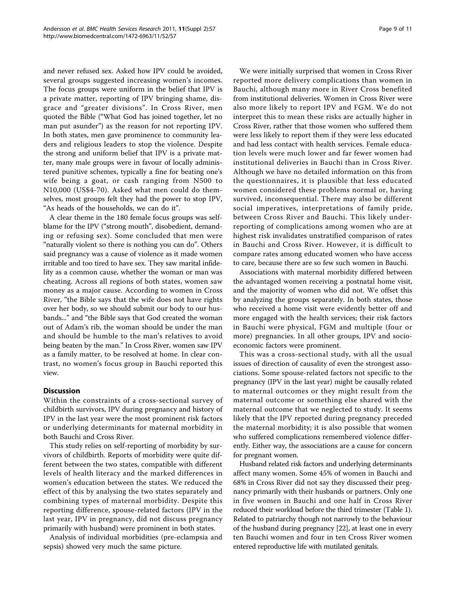and never refused sex. Asked how IPV could be avoided, several groups suggested increasing women's incomes. The focus groups were uniform in the belief that IPV is a private matter, reporting of IPV bringing shame, disgrace and "greater divisions". In Cross River, men quoted the Bible ("What God has joined together, let no man put asunder") as the reason for not reporting IPV. In both states, men gave prominence to community leaders and religious leaders to stop the violence. Despite the strong and uniform belief that IPV is a private matter, many male groups were in favour of locally administered punitive schemes, typically a fine for beating one's wife being a goat, or cash ranging from N500 to N10,000 (US\$4-70). Asked what men could do themselves, most groups felt they had the power to stop IPV, "As heads of the households, we can do it".

A clear theme in the 180 female focus groups was selfblame for the IPV ("strong mouth", disobedient, demanding or refusing sex). Some concluded that men were "naturally violent so there is nothing you can do". Others said pregnancy was a cause of violence as it made women irritable and too tired to have sex. They saw marital infidelity as a common cause, whether the woman or man was cheating. Across all regions of both states, women saw money as a major cause. According to women in Cross River, "the Bible says that the wife does not have rights over her body, so we should submit our body to our husbands..." and "the Bible says that God created the woman out of Adam's rib, the woman should be under the man and should be humble to the man's relatives to avoid being beaten by the man." In Cross River, women saw IPV as a family matter, to be resolved at home. In clear contrast, no women's focus group in Bauchi reported this view.

## **Discussion**

Within the constraints of a cross-sectional survey of childbirth survivors, IPV during pregnancy and history of IPV in the last year were the most prominent risk factors or underlying determinants for maternal morbidity in both Bauchi and Cross River.

This study relies on self-reporting of morbidity by survivors of childbirth. Reports of morbidity were quite different between the two states, compatible with different levels of health literacy and the marked differences in women's education between the states. We reduced the effect of this by analysing the two states separately and combining types of maternal morbidity. Despite this reporting difference, spouse-related factors (IPV in the last year, IPV in pregnancy, did not discuss pregnancy primarily with husband) were prominent in both states.

Analysis of individual morbidities (pre-eclampsia and sepsis) showed very much the same picture.

We were initially surprised that women in Cross River reported more delivery complications than women in Bauchi, although many more in River Cross benefited from institutional deliveries. Women in Cross River were also more likely to report IPV and FGM. We do not interpret this to mean these risks are actually higher in Cross River, rather that those women who suffered them were less likely to report them if they were less educated and had less contact with health services. Female education levels were much lower and far fewer women had institutional deliveries in Bauchi than in Cross River. Although we have no detailed information on this from

reporting of complications among women who are at highest risk invalidates unstratified comparison of rates in Bauchi and Cross River. However, it is difficult to compare rates among educated women who have access to care, because there are so few such women in Bauchi. Associations with maternal morbidity differed between the advantaged women receiving a postnatal home visit, and the majority of women who did not. We offset this by analyzing the groups separately. In both states, those who received a home visit were evidently better off and

the questionnaires, it is plausible that less educated women considered these problems normal or, having survived, inconsequential. There may also be different social imperatives, interpretations of family pride, between Cross River and Bauchi. This likely under-

more engaged with the health services; their risk factors in Bauchi were physical, FGM and multiple (four or more) pregnancies. In all other groups, IPV and socioeconomic factors were prominent.

This was a cross-sectional study, with all the usual issues of direction of causality of even the strongest associations. Some spouse-related factors not specific to the pregnancy (IPV in the last year) might be causally related to maternal outcomes or they might result from the maternal outcome or something else shared with the maternal outcome that we neglected to study. It seems likely that the IPV reported during pregnancy preceded the maternal morbidity; it is also possible that women who suffered complications remembered violence differently. Either way, the associations are a cause for concern for pregnant women.

Husband related risk factors and underlying determinants affect many women. Some 45% of women in Bauchi and 68% in Cross River did not say they discussed their pregnancy primarily with their husbands or partners. Only one in five women in Bauchi and one half in Cross River reduced their workload before the third trimester (Table [1](#page-2-0)). Related to patriarchy though not narrowly to the behaviour of the husband during pregnancy [\[22\]](#page-10-0), at least one in every ten Bauchi women and four in ten Cross River women entered reproductive life with mutilated genitals.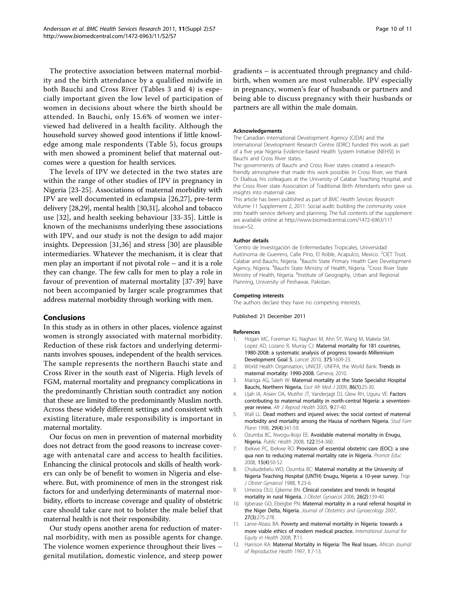<span id="page-9-0"></span>The protective association between maternal morbidity and the birth attendance by a qualified midwife in both Bauchi and Cross River (Tables [3](#page-6-0) and [4](#page-6-0)) is especially important given the low level of participation of women in decisions about where the birth should be attended. In Bauchi, only 15.6% of women we interviewed had delivered in a health facility. Although the household survey showed good intentions if little knowledge among male respondents (Table [5\)](#page-7-0), focus groups with men showed a prominent belief that maternal outcomes were a question for health services.

The levels of IPV we detected in the two states are within the range of other studies of IPV in pregnancy in Nigeria [[23-25](#page-10-0)]. Associations of maternal morbidity with IPV are well documented in eclampsia [\[26,27](#page-10-0)], pre-term delivery [\[28,29](#page-10-0)], mental health [\[30,31](#page-10-0)], alcohol and tobacco use [[32](#page-10-0)], and health seeking behaviour [[33](#page-10-0)-[35\]](#page-10-0). Little is known of the mechanisms underlying these associations with IPV, and our study is not the design to add major insights. Depression [\[31](#page-10-0),[36](#page-10-0)] and stress [\[30](#page-10-0)] are plausible intermediaries. Whatever the mechanism, it is clear that men play an important if not pivotal role – and it is a role they can change. The few calls for men to play a role in favour of prevention of maternal mortality [[37-39](#page-10-0)] have not been accompanied by larger scale programmes that address maternal morbidity through working with men.

#### Conclusions

In this study as in others in other places, violence against women is strongly associated with maternal morbidity. Reduction of these risk factors and underlying determinants involves spouses, independent of the health services. The sample represents the northern Bauchi state and Cross River in the south east of Nigeria. High levels of FGM, maternal mortality and pregnancy complications in the predominantly Christian south contradict any notion that these are limited to the predominantly Muslim north. Across these widely different settings and consistent with existing literature, male responsibility is important in maternal mortality.

Our focus on men in prevention of maternal morbidity does not detract from the good reasons to increase coverage with antenatal care and access to health facilities. Enhancing the clinical protocols and skills of health workers can only be of benefit to women in Nigeria and elsewhere. But, with prominence of men in the strongest risk factors for and underlying determinants of maternal morbidity, efforts to increase coverage and quality of obstetric care should take care not to bolster the male belief that maternal health is not their responsibility.

Our study opens another arena for reduction of maternal morbidity, with men as possible agents for change. The violence women experience throughout their lives – genital mutilation, domestic violence, and steep power gradients – is accentuated through pregnancy and childbirth, when women are most vulnerable. IPV especially in pregnancy, women's fear of husbands or partners and being able to discuss pregnancy with their husbands or partners are all within the male domain.

#### Acknowledgements

The Canadian International Development Agency (CIDA) and the International Development Research Centre (IDRC) funded this work as part of a five year Nigeria Evidence-based Health System Initiative (NEHSI) in Bauchi and Cross River states.

The governments of Bauchi and Cross River states created a researchfriendly atmosphere that made this work possible. In Cross River, we thank Dr Ekabua, his colleagues at the University of Calabar Teaching Hospital, and the Cross River state Association of Traditional Birth Attendants who gave us insights into maternal care.

This article has been published as part of BMC Health Services Research Volume 11 Supplement 2, 2011: Social audit: building the community voice into health service delivery and planning. The full contents of the supplement are available online at [http://www.biomedcentral.com/1472-6963/11?](http://www.biomedcentral.com/1472-6963/11?issue=S2) [issue=S2.](http://www.biomedcentral.com/1472-6963/11?issue=S2)

#### Author details

1 Centro de Investigación de Enfermedades Tropicales, Universidad Autónoma de Guerrero, Calle Pino, El Roble, Acapulco, Mexico. <sup>2</sup>CIET Trust Calabar and Bauchi, Nigeria. <sup>3</sup>Bauchi State Primary Health Care Development Agency, Nigeria. <sup>4</sup>Bauchi State Ministry of Health, Nigeria. <sup>5</sup>Cross River State Ministry of Health, Nigeria. <sup>6</sup>Institute of Geography, Urban and Regional Planning, University of Peshawar, Pakistan.

#### Competing interests

The authors declare they have no competing interests.

Published: 21 December 2011

#### References

- Hogan MC, Foreman KJ, Naghavi M, Ahn SY, Wang M, Makela SM, Lopez AD, Lozano R, Murray CJ: [Maternal mortality for 181 countries,](http://www.ncbi.nlm.nih.gov/pubmed/20382417?dopt=Abstract) [1980-2008: a systematic analysis of progress towards Millennium](http://www.ncbi.nlm.nih.gov/pubmed/20382417?dopt=Abstract) [Development Goal 5.](http://www.ncbi.nlm.nih.gov/pubmed/20382417?dopt=Abstract) Lancet 2010, 375:1609-23.
- 2. World Health Organisation, UNICEF, UNFPA, the World Bank: Trends in maternal mortality: 1990-2008. Geneva; 2010.
- 3. Mairiga AG, Saleh W: [Maternal mortality at the State Specialist Hospital](http://www.ncbi.nlm.nih.gov/pubmed/19530545?dopt=Abstract) [Bauchi, Northern Nigeria.](http://www.ncbi.nlm.nih.gov/pubmed/19530545?dopt=Abstract) East Afr Med J 2009, 86(1):25-30.
- 4. Ujah IA, Aisien OA, Mutihir JT, Vanderjagt DJ, Glew RH, Uguru VE: [Factors](http://www.ncbi.nlm.nih.gov/pubmed/16623187?dopt=Abstract) [contributing to maternal mortality in north-central Nigeria: a seventeen](http://www.ncbi.nlm.nih.gov/pubmed/16623187?dopt=Abstract)[year review.](http://www.ncbi.nlm.nih.gov/pubmed/16623187?dopt=Abstract) Afr J Reprod Health 2005, 9:27-40.
- 5. Wall LL: [Dead mothers and injured wives: the social context of maternal](http://www.ncbi.nlm.nih.gov/pubmed/9919629?dopt=Abstract) [morbidity and mortality among the Hausa of northern Nigeria.](http://www.ncbi.nlm.nih.gov/pubmed/9919629?dopt=Abstract) Stud Fam Plann 1998, 29(4):341-59.
- 6. Ozumba BC, Nwogu-Ikojo EE: [Avoidable maternal mortality in Enugu,](http://www.ncbi.nlm.nih.gov/pubmed/17959207?dopt=Abstract) [Nigeria.](http://www.ncbi.nlm.nih.gov/pubmed/17959207?dopt=Abstract) Public Health 2008, 122:354-360.
- 7. Ibekwe PC, Ibekwe RO: [Provision of essential obstetric care \(EOC\): a sine](http://www.ncbi.nlm.nih.gov/pubmed/19066239?dopt=Abstract) [qua non to reducing maternal mortality rate in Nigeria.](http://www.ncbi.nlm.nih.gov/pubmed/19066239?dopt=Abstract) Promot Educ 2008, 15(4):50-52.
- 8. Chukudebelu WO, Ozumba BC: [Maternal mortality at the University of](http://www.ncbi.nlm.nih.gov/pubmed/12179283?dopt=Abstract) [Nigeria Teaching Hospital \(UNTH\) Enugu, Nigeria: a 10-year survey.](http://www.ncbi.nlm.nih.gov/pubmed/12179283?dopt=Abstract) Trop J Obstet Gynaecol 1988, 1:23-6.
- 9. Umeora OUJ, Ejikeme BN: [Clinical correlates and trends in hospital](http://www.ncbi.nlm.nih.gov/pubmed/16483972?dopt=Abstract) [mortality in rural Nigeria.](http://www.ncbi.nlm.nih.gov/pubmed/16483972?dopt=Abstract) J Obstet Gynaecol 2006, 26(2):139-40.
- 10. Igberase GO, Ebeigbe PN: [Maternal mortality in a rural referral hospital in](http://www.ncbi.nlm.nih.gov/pubmed/17464810?dopt=Abstract) [the Niger Delta, Nigeria.](http://www.ncbi.nlm.nih.gov/pubmed/17464810?dopt=Abstract) Journal of Obstetrics and Gynaecology 2007, 27(3):275-278.
- 11. Lanre-Abass BA: [Poverty and maternal mortality in Nigeria: towards a](http://www.ncbi.nlm.nih.gov/pubmed/18447920?dopt=Abstract) [more viable ethics of modern medical practice.](http://www.ncbi.nlm.nih.gov/pubmed/18447920?dopt=Abstract) International Journal for Equity in Health 2008, 7:11.
- 12. Harrison KA: [Maternal Mortality in Nigeria: The Real Issues.](http://www.ncbi.nlm.nih.gov/pubmed/10214398?dopt=Abstract) African Journal of Reproductive Health 1997, 1:7-13.